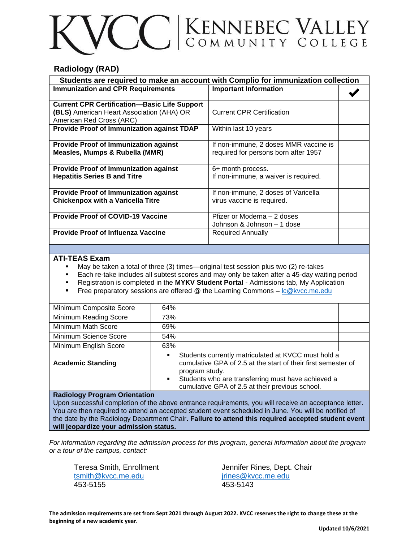# CC ENNEBEC VALLEY

## **Radiology (RAD)**

| Students are required to make an account with Complio for immunization collection |                                       |  |
|-----------------------------------------------------------------------------------|---------------------------------------|--|
| <b>Immunization and CPR Requirements</b>                                          | <b>Important Information</b>          |  |
|                                                                                   |                                       |  |
| <b>Current CPR Certification-Basic Life Support</b>                               |                                       |  |
| (BLS) American Heart Association (AHA) OR                                         | <b>Current CPR Certification</b>      |  |
| American Red Cross (ARC)                                                          |                                       |  |
| <b>Provide Proof of Immunization against TDAP</b>                                 | Within last 10 years                  |  |
|                                                                                   |                                       |  |
| <b>Provide Proof of Immunization against</b>                                      | If non-immune, 2 doses MMR vaccine is |  |
| Measles, Mumps & Rubella (MMR)                                                    | required for persons born after 1957  |  |
|                                                                                   |                                       |  |
| <b>Provide Proof of Immunization against</b>                                      | 6+ month process.                     |  |
| <b>Hepatitis Series B and Titre</b>                                               | If non-immune, a waiver is required.  |  |
|                                                                                   |                                       |  |
| <b>Provide Proof of Immunization against</b>                                      | If non-immune, 2 doses of Varicella   |  |
| <b>Chickenpox with a Varicella Titre</b>                                          | virus vaccine is required.            |  |
|                                                                                   |                                       |  |
| <b>Provide Proof of COVID-19 Vaccine</b>                                          | Pfizer or Moderna – 2 doses           |  |
|                                                                                   | Johnson & Johnson - 1 dose            |  |
| <b>Provide Proof of Influenza Vaccine</b>                                         | <b>Required Annually</b>              |  |
|                                                                                   |                                       |  |

#### **ATI-TEAS Exam**

- May be taken a total of three (3) times—original test session plus two (2) re-takes
- Each re-take includes all subtest scores and may only be taken after a 45-day waiting period
- Registration is completed in the **MYKV Student Portal**  Admissions tab, My Application
- Free preparatory sessions are offered @ the Learning Commons  $-\underline{\text{lc@kvcc.me.edu}}$  $-\underline{\text{lc@kvcc.me.edu}}$  $-\underline{\text{lc@kvcc.me.edu}}$

| Minimum Composite Score                                                                             | 64%                                                                                                                                                                                                                                                                                 |  |
|-----------------------------------------------------------------------------------------------------|-------------------------------------------------------------------------------------------------------------------------------------------------------------------------------------------------------------------------------------------------------------------------------------|--|
| Minimum Reading Score                                                                               | 73%                                                                                                                                                                                                                                                                                 |  |
| Minimum Math Score                                                                                  | 69%                                                                                                                                                                                                                                                                                 |  |
| Minimum Science Score                                                                               | 54%                                                                                                                                                                                                                                                                                 |  |
| Minimum English Score                                                                               | 63%                                                                                                                                                                                                                                                                                 |  |
| <b>Academic Standing</b>                                                                            | Students currently matriculated at KVCC must hold a<br>$\blacksquare$<br>cumulative GPA of 2.5 at the start of their first semester of<br>program study.<br>Students who are transferring must have achieved a<br>$\blacksquare$<br>cumulative GPA of 2.5 at their previous school. |  |
| <b>Radiology Program Orientation</b>                                                                |                                                                                                                                                                                                                                                                                     |  |
| Upon successful completion of the above optraneo requirements you will resolve an accontance letter |                                                                                                                                                                                                                                                                                     |  |

Upon successful completion of the above entrance requirements, you will receive an acceptance letter. You are then required to attend an accepted student event scheduled in June. You will be notified of the date by the Radiology Department Chair**. Failure to attend this required accepted student event will jeopardize your admission status.**

*For information regarding the admission process for this program, general information about the program or a tour of the campus, contact:*

[tsmith@kvcc.me.edu](mailto:tsmith@kvcc.me.edu) interese intervalsedu intervalsedu intervalsedu intervalsedu 453-5155 453-5143

Teresa Smith, Enrollment Jennifer Rines, Dept. Chair